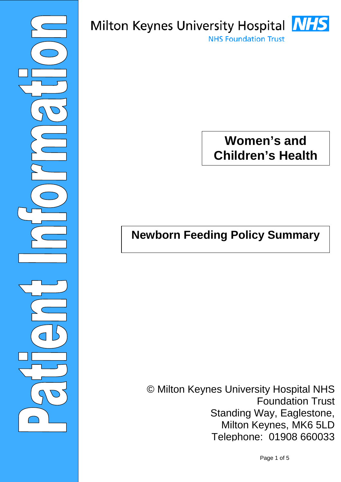

# Milton Keynes University Hospital **NHS NHS Foundation Trust**

# **Women's and Children's Health**

# **Newborn Feeding Policy Summary**

© Milton Keynes University Hospital NHS Foundation Trust Standing Way, Eaglestone, Milton Keynes, MK6 5LD Telephone: 01908 660033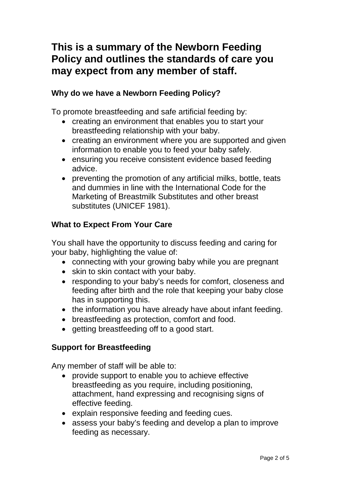## **This is a summary of the Newborn Feeding Policy and outlines the standards of care you may expect from any member of staff.**

#### **Why do we have a Newborn Feeding Policy?**

To promote breastfeeding and safe artificial feeding by:

- creating an environment that enables you to start your breastfeeding relationship with your baby.
- creating an environment where you are supported and given information to enable you to feed your baby safely.
- ensuring you receive consistent evidence based feeding advice.
- preventing the promotion of any artificial milks, bottle, teats and dummies in line with the International Code for the Marketing of Breastmilk Substitutes and other breast substitutes (UNICEF 1981).

## **What to Expect From Your Care**

You shall have the opportunity to discuss feeding and caring for your baby, highlighting the value of:

- connecting with your growing baby while you are pregnant
- skin to skin contact with your baby.
- responding to your baby's needs for comfort, closeness and feeding after birth and the role that keeping your baby close has in supporting this.
- the information you have already have about infant feeding.
- breastfeeding as protection, comfort and food.
- getting breastfeeding off to a good start.

#### **Support for Breastfeeding**

Any member of staff will be able to:

- provide support to enable you to achieve effective breastfeeding as you require, including positioning, attachment, hand expressing and recognising signs of effective feeding.
- explain responsive feeding and feeding cues.
- assess your baby's feeding and develop a plan to improve feeding as necessary.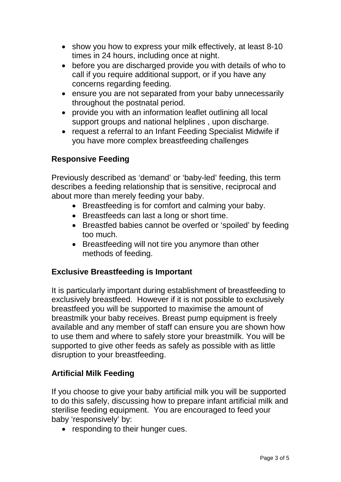- show you how to express your milk effectively, at least 8-10 times in 24 hours, including once at night.
- before you are discharged provide you with details of who to call if you require additional support, or if you have any concerns regarding feeding.
- ensure you are not separated from your baby unnecessarily throughout the postnatal period.
- provide you with an information leaflet outlining all local support groups and national helplines , upon discharge.
- request a referral to an Infant Feeding Specialist Midwife if you have more complex breastfeeding challenges

## **Responsive Feeding**

Previously described as 'demand' or 'baby-led' feeding, this term describes a feeding relationship that is sensitive, reciprocal and about more than merely feeding your baby.

- Breastfeeding is for comfort and calming your baby.
- Breastfeeds can last a long or short time.
- Breastfed babies cannot be overfed or 'spoiled' by feeding too much.
- Breastfeeding will not tire you anymore than other methods of feeding.

## **Exclusive Breastfeeding is Important**

It is particularly important during establishment of breastfeeding to exclusively breastfeed. However if it is not possible to exclusively breastfeed you will be supported to maximise the amount of breastmilk your baby receives. Breast pump equipment is freely available and any member of staff can ensure you are shown how to use them and where to safely store your breastmilk. You will be supported to give other feeds as safely as possible with as little disruption to your breastfeeding.

#### **Artificial Milk Feeding**

If you choose to give your baby artificial milk you will be supported to do this safely, discussing how to prepare infant artificial milk and sterilise feeding equipment. You are encouraged to feed your baby 'responsively' by:

• responding to their hunger cues.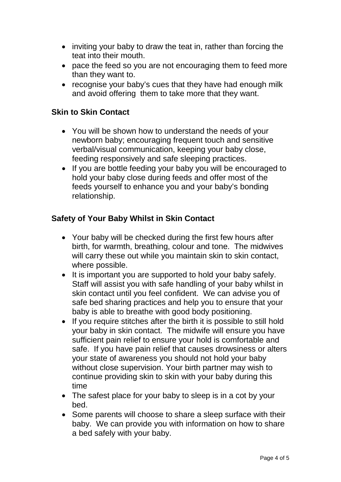- inviting your baby to draw the teat in, rather than forcing the teat into their mouth.
- pace the feed so you are not encouraging them to feed more than they want to.
- recognise your baby's cues that they have had enough milk and avoid offering them to take more that they want.

#### **Skin to Skin Contact**

- You will be shown how to understand the needs of your newborn baby; encouraging frequent touch and sensitive verbal/visual communication, keeping your baby close, feeding responsively and safe sleeping practices.
- If you are bottle feeding your baby you will be encouraged to hold your baby close during feeds and offer most of the feeds yourself to enhance you and your baby's bonding relationship.

#### **Safety of Your Baby Whilst in Skin Contact**

- Your baby will be checked during the first few hours after birth, for warmth, breathing, colour and tone. The midwives will carry these out while you maintain skin to skin contact, where possible.
- It is important you are supported to hold your baby safely. Staff will assist you with safe handling of your baby whilst in skin contact until you feel confident. We can advise you of safe bed sharing practices and help you to ensure that your baby is able to breathe with good body positioning.
- If you require stitches after the birth it is possible to still hold your baby in skin contact. The midwife will ensure you have sufficient pain relief to ensure your hold is comfortable and safe. If you have pain relief that causes drowsiness or alters your state of awareness you should not hold your baby without close supervision. Your birth partner may wish to continue providing skin to skin with your baby during this time
- The safest place for your baby to sleep is in a cot by your bed.
- Some parents will choose to share a sleep surface with their baby. We can provide you with information on how to share a bed safely with your baby.